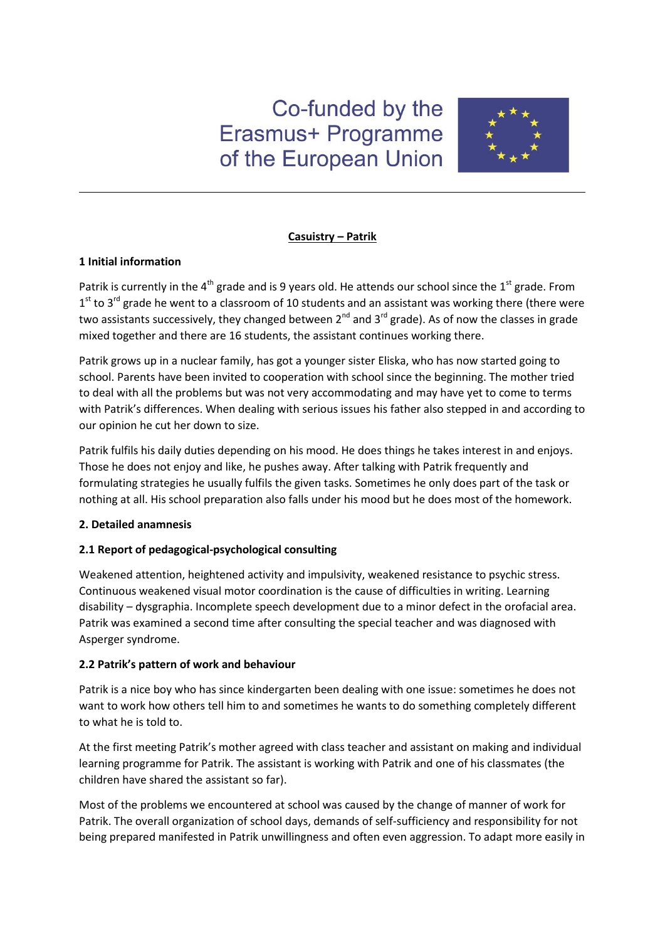# Co-funded by the Erasmus+ Programme of the European Union



## **Casuistry – Patrik**

## **1 Initial information**

Patrik is currently in the  $4<sup>th</sup>$  grade and is 9 years old. He attends our school since the  $1<sup>st</sup>$  grade. From  $1<sup>st</sup>$  to 3<sup>rd</sup> grade he went to a classroom of 10 students and an assistant was working there (there were two assistants successively, they changed between  $2^{nd}$  and  $3^{rd}$  grade). As of now the classes in grade mixed together and there are 16 students, the assistant continues working there.

Patrik grows up in a nuclear family, has got a younger sister Eliska, who has now started going to school. Parents have been invited to cooperation with school since the beginning. The mother tried to deal with all the problems but was not very accommodating and may have yet to come to terms with Patrik's differences. When dealing with serious issues his father also stepped in and according to our opinion he cut her down to size.

Patrik fulfils his daily duties depending on his mood. He does things he takes interest in and enjoys. Those he does not enjoy and like, he pushes away. After talking with Patrik frequently and formulating strategies he usually fulfils the given tasks. Sometimes he only does part of the task or nothing at all. His school preparation also falls under his mood but he does most of the homework.

## **2. Detailed anamnesis**

## **2.1 Report of pedagogical-psychological consulting**

Weakened attention, heightened activity and impulsivity, weakened resistance to psychic stress. Continuous weakened visual motor coordination is the cause of difficulties in writing. Learning disability – dysgraphia. Incomplete speech development due to a minor defect in the orofacial area. Patrik was examined a second time after consulting the special teacher and was diagnosed with Asperger syndrome.

## **2.2 Patrik's pattern of work and behaviour**

Patrik is a nice boy who has since kindergarten been dealing with one issue: sometimes he does not want to work how others tell him to and sometimes he wants to do something completely different to what he is told to.

At the first meeting Patrik's mother agreed with class teacher and assistant on making and individual learning programme for Patrik. The assistant is working with Patrik and one of his classmates (the children have shared the assistant so far).

Most of the problems we encountered at school was caused by the change of manner of work for Patrik. The overall organization of school days, demands of self-sufficiency and responsibility for not being prepared manifested in Patrik unwillingness and often even aggression. To adapt more easily in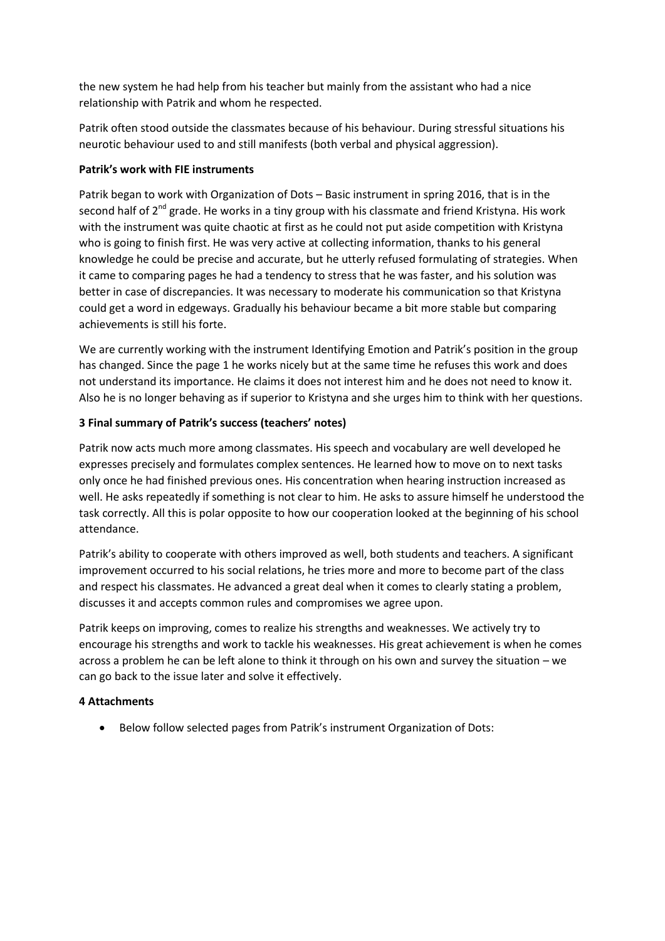the new system he had help from his teacher but mainly from the assistant who had a nice relationship with Patrik and whom he respected.

Patrik often stood outside the classmates because of his behaviour. During stressful situations his neurotic behaviour used to and still manifests (both verbal and physical aggression).

### **Patrik's work with FIE instruments**

Patrik began to work with Organization of Dots – Basic instrument in spring 2016, that is in the second half of  $2^{nd}$  grade. He works in a tiny group with his classmate and friend Kristyna. His work with the instrument was quite chaotic at first as he could not put aside competition with Kristyna who is going to finish first. He was very active at collecting information, thanks to his general knowledge he could be precise and accurate, but he utterly refused formulating of strategies. When it came to comparing pages he had a tendency to stress that he was faster, and his solution was better in case of discrepancies. It was necessary to moderate his communication so that Kristyna could get a word in edgeways. Gradually his behaviour became a bit more stable but comparing achievements is still his forte.

We are currently working with the instrument Identifying Emotion and Patrik's position in the group has changed. Since the page 1 he works nicely but at the same time he refuses this work and does not understand its importance. He claims it does not interest him and he does not need to know it. Also he is no longer behaving as if superior to Kristyna and she urges him to think with her questions.

#### **3 Final summary of Patrik's success (teachers' notes)**

Patrik now acts much more among classmates. His speech and vocabulary are well developed he expresses precisely and formulates complex sentences. He learned how to move on to next tasks only once he had finished previous ones. His concentration when hearing instruction increased as well. He asks repeatedly if something is not clear to him. He asks to assure himself he understood the task correctly. All this is polar opposite to how our cooperation looked at the beginning of his school attendance.

Patrik's ability to cooperate with others improved as well, both students and teachers. A significant improvement occurred to his social relations, he tries more and more to become part of the class and respect his classmates. He advanced a great deal when it comes to clearly stating a problem, discusses it and accepts common rules and compromises we agree upon.

Patrik keeps on improving, comes to realize his strengths and weaknesses. We actively try to encourage his strengths and work to tackle his weaknesses. His great achievement is when he comes across a problem he can be left alone to think it through on his own and survey the situation – we can go back to the issue later and solve it effectively.

#### **4 Attachments**

Below follow selected pages from Patrik's instrument Organization of Dots: